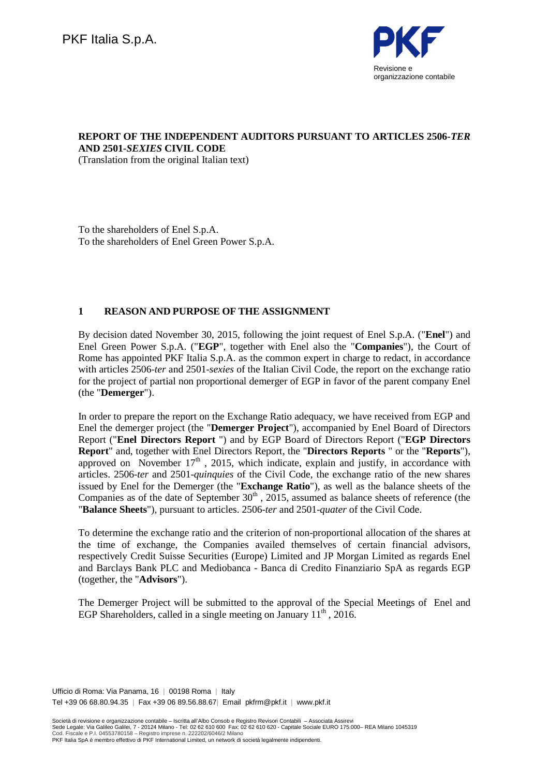

# **REPORT OF THE INDEPENDENT AUDITORS PURSUANT TO ARTICLES 2506-***TER* **AND 2501-***SEXIES* **CIVIL CODE**

(Translation from the original Italian text)

To the shareholders of Enel S.p.A. To the shareholders of Enel Green Power S.p.A.

## **1 REASON AND PURPOSE OF THE ASSIGNMENT**

By decision dated November 30, 2015, following the joint request of Enel S.p.A. ("**Enel**") and Enel Green Power S.p.A. ("**EGP**", together with Enel also the "**Companies**"), the Court of Rome has appointed PKF Italia S.p.A. as the common expert in charge to redact, in accordance with articles 2506-*ter* and 2501-*sexies* of the Italian Civil Code, the report on the exchange ratio for the project of partial non proportional demerger of EGP in favor of the parent company Enel (the "**Demerger**").

In order to prepare the report on the Exchange Ratio adequacy, we have received from EGP and Enel the demerger project (the "**Demerger Project**"), accompanied by Enel Board of Directors Report ("**Enel Directors Report** ") and by EGP Board of Directors Report ("**EGP Directors Report**" and, together with Enel Directors Report, the "**Directors Reports** " or the "**Reports**"), approved on November  $17<sup>th</sup>$ , 2015, which indicate, explain and justify, in accordance with articles. 2506-*ter* and 2501-*quinquies* of the Civil Code, the exchange ratio of the new shares issued by Enel for the Demerger (the "**Exchange Ratio**"), as well as the balance sheets of the Companies as of the date of September  $30<sup>th</sup>$ , 2015, assumed as balance sheets of reference (the "**Balance Sheets**"), pursuant to articles. 2506-*ter* and 2501-*quater* of the Civil Code.

To determine the exchange ratio and the criterion of non-proportional allocation of the shares at the time of exchange, the Companies availed themselves of certain financial advisors, respectively Credit Suisse Securities (Europe) Limited and JP Morgan Limited as regards Enel and Barclays Bank PLC and Mediobanca - Banca di Credito Finanziario SpA as regards EGP (together, the "**Advisors**").

The Demerger Project will be submitted to the approval of the Special Meetings of Enel and EGP Shareholders, called in a single meeting on January  $11<sup>th</sup>$ , 2016.

Ufficio di Roma: Via Panama, 16 | 00198 Roma | Italy Tel +39 06 68.80.94.35 | Fax +39 06 89.56.88.67| Email pkfrm@pkf.it | www.pkf.it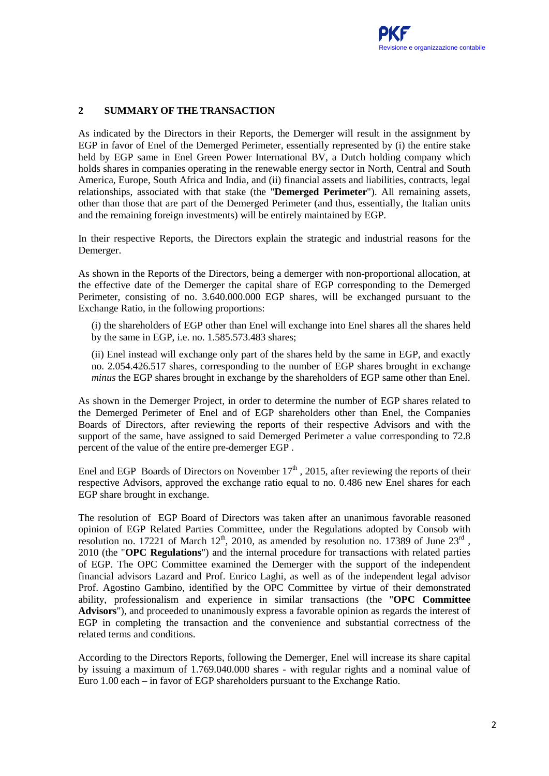## **2 SUMMARY OF THE TRANSACTION**

As indicated by the Directors in their Reports, the Demerger will result in the assignment by EGP in favor of Enel of the Demerged Perimeter, essentially represented by (i) the entire stake held by EGP same in Enel Green Power International BV, a Dutch holding company which holds shares in companies operating in the renewable energy sector in North, Central and South America, Europe, South Africa and India, and (ii) financial assets and liabilities, contracts, legal relationships, associated with that stake (the "**Demerged Perimeter**"). All remaining assets, other than those that are part of the Demerged Perimeter (and thus, essentially, the Italian units and the remaining foreign investments) will be entirely maintained by EGP.

In their respective Reports, the Directors explain the strategic and industrial reasons for the Demerger.

As shown in the Reports of the Directors, being a demerger with non-proportional allocation, at the effective date of the Demerger the capital share of EGP corresponding to the Demerged Perimeter, consisting of no. 3.640.000.000 EGP shares, will be exchanged pursuant to the Exchange Ratio, in the following proportions:

(i) the shareholders of EGP other than Enel will exchange into Enel shares all the shares held by the same in EGP, i.e. no. 1.585.573.483 shares;

(ii) Enel instead will exchange only part of the shares held by the same in EGP, and exactly no. 2.054.426.517 shares, corresponding to the number of EGP shares brought in exchange *minus* the EGP shares brought in exchange by the shareholders of EGP same other than Enel.

As shown in the Demerger Project, in order to determine the number of EGP shares related to the Demerged Perimeter of Enel and of EGP shareholders other than Enel, the Companies Boards of Directors, after reviewing the reports of their respective Advisors and with the support of the same, have assigned to said Demerged Perimeter a value corresponding to 72.8 percent of the value of the entire pre-demerger EGP .

Enel and EGP Boards of Directors on November  $17<sup>th</sup>$ , 2015, after reviewing the reports of their respective Advisors, approved the exchange ratio equal to no. 0.486 new Enel shares for each EGP share brought in exchange.

The resolution of EGP Board of Directors was taken after an unanimous favorable reasoned opinion of EGP Related Parties Committee, under the Regulations adopted by Consob with resolution no. 17221 of March 12<sup>th</sup>, 2010, as amended by resolution no. 17389 of June  $23^{\text{rd}}$ , 2010 (the "**OPC Regulations**") and the internal procedure for transactions with related parties of EGP. The OPC Committee examined the Demerger with the support of the independent financial advisors Lazard and Prof. Enrico Laghi, as well as of the independent legal advisor Prof. Agostino Gambino, identified by the OPC Committee by virtue of their demonstrated ability, professionalism and experience in similar transactions (the "**OPC Committee Advisors**"), and proceeded to unanimously express a favorable opinion as regards the interest of EGP in completing the transaction and the convenience and substantial correctness of the related terms and conditions.

According to the Directors Reports, following the Demerger, Enel will increase its share capital by issuing a maximum of 1.769.040.000 shares - with regular rights and a nominal value of Euro 1.00 each – in favor of EGP shareholders pursuant to the Exchange Ratio.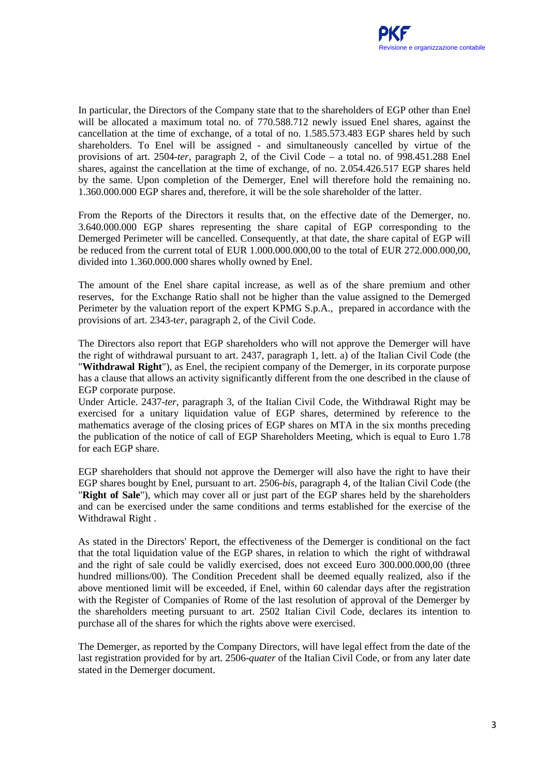In particular, the Directors of the Company state that to the shareholders of EGP other than Enel will be allocated a maximum total no. of 770.588.712 newly issued Enel shares, against the cancellation at the time of exchange, of a total of no. 1.585.573.483 EGP shares held by such shareholders. To Enel will be assigned - and simultaneously cancelled by virtue of the provisions of art. 2504-*ter*, paragraph 2, of the Civil Code – a total no. of 998.451.288 Enel shares, against the cancellation at the time of exchange, of no. 2.054.426.517 EGP shares held by the same. Upon completion of the Demerger, Enel will therefore hold the remaining no. 1.360.000.000 EGP shares and, therefore, it will be the sole shareholder of the latter.

From the Reports of the Directors it results that, on the effective date of the Demerger, no. 3.640.000.000 EGP shares representing the share capital of EGP corresponding to the Demerged Perimeter will be cancelled. Consequently, at that date, the share capital of EGP will be reduced from the current total of EUR 1.000.000.000,00 to the total of EUR 272.000.000,00, divided into 1.360.000.000 shares wholly owned by Enel.

The amount of the Enel share capital increase, as well as of the share premium and other reserves, for the Exchange Ratio shall not be higher than the value assigned to the Demerged Perimeter by the valuation report of the expert KPMG S.p.A., prepared in accordance with the provisions of art. 2343-t*er*, paragraph 2, of the Civil Code.

The Directors also report that EGP shareholders who will not approve the Demerger will have the right of withdrawal pursuant to art. 2437, paragraph 1, lett. a) of the Italian Civil Code (the "**Withdrawal Right**"), as Enel, the recipient company of the Demerger, in its corporate purpose has a clause that allows an activity significantly different from the one described in the clause of EGP corporate purpose.

Under Article. 2437-*ter*, paragraph 3, of the Italian Civil Code, the Withdrawal Right may be exercised for a unitary liquidation value of EGP shares, determined by reference to the mathematics average of the closing prices of EGP shares on MTA in the six months preceding the publication of the notice of call of EGP Shareholders Meeting, which is equal to Euro 1.78 for each EGP share.

EGP shareholders that should not approve the Demerger will also have the right to have their EGP shares bought by Enel, pursuant to art. 2506-*bis*, paragraph 4, of the Italian Civil Code (the "**Right of Sale**"), which may cover all or just part of the EGP shares held by the shareholders and can be exercised under the same conditions and terms established for the exercise of the Withdrawal Right .

As stated in the Directors' Report, the effectiveness of the Demerger is conditional on the fact that the total liquidation value of the EGP shares, in relation to which the right of withdrawal and the right of sale could be validly exercised, does not exceed Euro 300.000.000,00 (three hundred millions/00). The Condition Precedent shall be deemed equally realized, also if the above mentioned limit will be exceeded, if Enel, within 60 calendar days after the registration with the Register of Companies of Rome of the last resolution of approval of the Demerger by the shareholders meeting pursuant to art. 2502 Italian Civil Code, declares its intention to purchase all of the shares for which the rights above were exercised.

The Demerger, as reported by the Company Directors, will have legal effect from the date of the last registration provided for by art. 2506-*quater* of the Italian Civil Code, or from any later date stated in the Demerger document.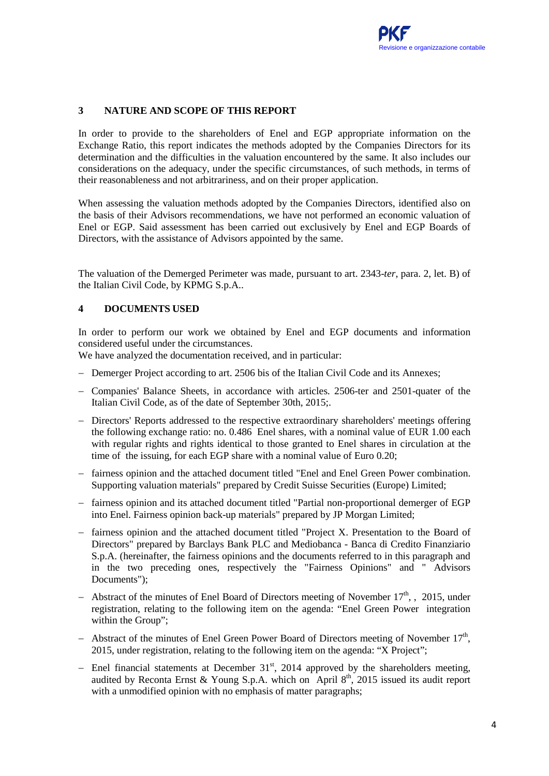## **3 NATURE AND SCOPE OF THIS REPORT**

In order to provide to the shareholders of Enel and EGP appropriate information on the Exchange Ratio, this report indicates the methods adopted by the Companies Directors for its determination and the difficulties in the valuation encountered by the same. It also includes our considerations on the adequacy, under the specific circumstances, of such methods, in terms of their reasonableness and not arbitrariness, and on their proper application.

When assessing the valuation methods adopted by the Companies Directors, identified also on the basis of their Advisors recommendations, we have not performed an economic valuation of Enel or EGP. Said assessment has been carried out exclusively by Enel and EGP Boards of Directors, with the assistance of Advisors appointed by the same.

The valuation of the Demerged Perimeter was made, pursuant to art. 2343-*ter*, para. 2, let. B) of the Italian Civil Code, by KPMG S.p.A..

## **4 DOCUMENTS USED**

In order to perform our work we obtained by Enel and EGP documents and information considered useful under the circumstances.

We have analyzed the documentation received, and in particular:

- − Demerger Project according to art. 2506 bis of the Italian Civil Code and its Annexes;
- − Companies' Balance Sheets, in accordance with articles. 2506-ter and 2501-quater of the Italian Civil Code, as of the date of September 30th, 2015;.
- − Directors' Reports addressed to the respective extraordinary shareholders' meetings offering the following exchange ratio: no. 0.486 Enel shares, with a nominal value of EUR 1.00 each with regular rights and rights identical to those granted to Enel shares in circulation at the time of the issuing, for each EGP share with a nominal value of Euro 0.20;
- − fairness opinion and the attached document titled "Enel and Enel Green Power combination. Supporting valuation materials" prepared by Credit Suisse Securities (Europe) Limited;
- − fairness opinion and its attached document titled "Partial non-proportional demerger of EGP into Enel. Fairness opinion back-up materials" prepared by JP Morgan Limited;
- − fairness opinion and the attached document titled "Project X. Presentation to the Board of Directors" prepared by Barclays Bank PLC and Mediobanca - Banca di Credito Finanziario S.p.A. (hereinafter, the fairness opinions and the documents referred to in this paragraph and in the two preceding ones, respectively the "Fairness Opinions" and " Advisors Documents");
- − Abstract of the minutes of Enel Board of Directors meeting of November 17<sup>th</sup>, , 2015, under registration, relating to the following item on the agenda: "Enel Green Power integration within the Group";
- − Abstract of the minutes of Enel Green Power Board of Directors meeting of November 17<sup>th</sup>, 2015, under registration, relating to the following item on the agenda: "X Project";
- − Enel financial statements at December 31<sup>st</sup>, 2014 approved by the shareholders meeting, audited by Reconta Ernst & Young S.p.A. which on April  $8<sup>th</sup>$ , 2015 issued its audit report with a unmodified opinion with no emphasis of matter paragraphs: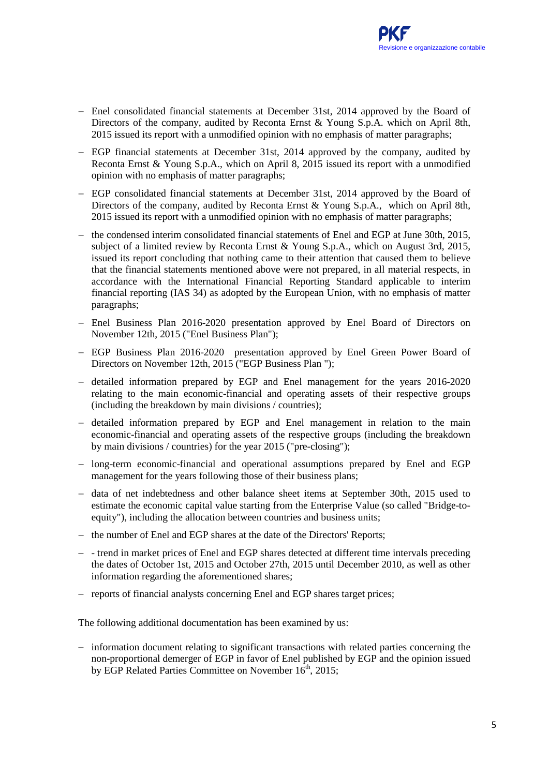- − Enel consolidated financial statements at December 31st, 2014 approved by the Board of Directors of the company, audited by Reconta Ernst & Young S.p.A. which on April 8th, 2015 issued its report with a unmodified opinion with no emphasis of matter paragraphs;
- − EGP financial statements at December 31st, 2014 approved by the company, audited by Reconta Ernst & Young S.p.A., which on April 8, 2015 issued its report with a unmodified opinion with no emphasis of matter paragraphs;
- − EGP consolidated financial statements at December 31st, 2014 approved by the Board of Directors of the company, audited by Reconta Ernst & Young S.p.A., which on April 8th, 2015 issued its report with a unmodified opinion with no emphasis of matter paragraphs;
- − the condensed interim consolidated financial statements of Enel and EGP at June 30th, 2015, subject of a limited review by Reconta Ernst & Young S.p.A., which on August 3rd, 2015, issued its report concluding that nothing came to their attention that caused them to believe that the financial statements mentioned above were not prepared, in all material respects, in accordance with the International Financial Reporting Standard applicable to interim financial reporting (IAS 34) as adopted by the European Union, with no emphasis of matter paragraphs;
- − Enel Business Plan 2016-2020 presentation approved by Enel Board of Directors on November 12th, 2015 ("Enel Business Plan");
- − EGP Business Plan 2016-2020 presentation approved by Enel Green Power Board of Directors on November 12th, 2015 ("EGP Business Plan ");
- − detailed information prepared by EGP and Enel management for the years 2016-2020 relating to the main economic-financial and operating assets of their respective groups (including the breakdown by main divisions / countries);
- − detailed information prepared by EGP and Enel management in relation to the main economic-financial and operating assets of the respective groups (including the breakdown by main divisions / countries) for the year 2015 ("pre-closing");
- − long-term economic-financial and operational assumptions prepared by Enel and EGP management for the years following those of their business plans;
- − data of net indebtedness and other balance sheet items at September 30th, 2015 used to estimate the economic capital value starting from the Enterprise Value (so called "Bridge-toequity"), including the allocation between countries and business units;
- − the number of Enel and EGP shares at the date of the Directors' Reports;
- − trend in market prices of Enel and EGP shares detected at different time intervals preceding the dates of October 1st, 2015 and October 27th, 2015 until December 2010, as well as other information regarding the aforementioned shares;
- − reports of financial analysts concerning Enel and EGP shares target prices;

The following additional documentation has been examined by us:

− information document relating to significant transactions with related parties concerning the non-proportional demerger of EGP in favor of Enel published by EGP and the opinion issued by EGP Related Parties Committee on November  $16^{th}$ , 2015;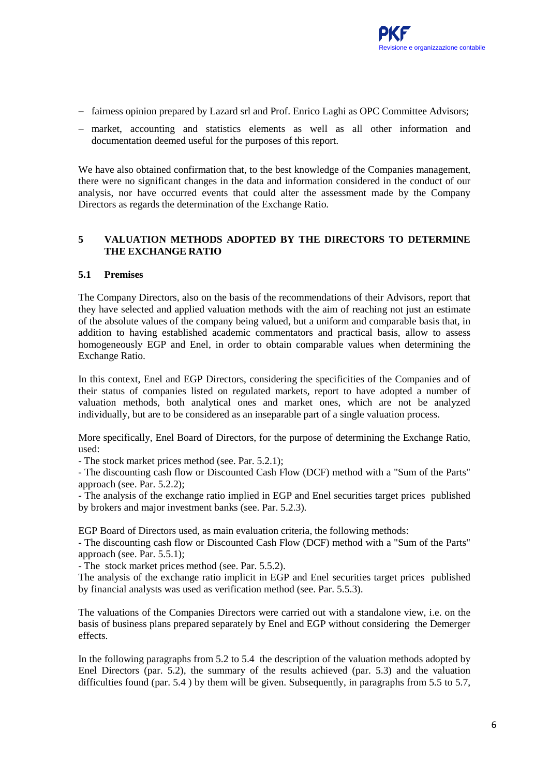- − fairness opinion prepared by Lazard srl and Prof. Enrico Laghi as OPC Committee Advisors;
- − market, accounting and statistics elements as well as all other information and documentation deemed useful for the purposes of this report.

We have also obtained confirmation that, to the best knowledge of the Companies management, there were no significant changes in the data and information considered in the conduct of our analysis, nor have occurred events that could alter the assessment made by the Company Directors as regards the determination of the Exchange Ratio.

## **5 VALUATION METHODS ADOPTED BY THE DIRECTORS TO DETERMINE THE EXCHANGE RATIO**

## **5.1 Premises**

The Company Directors, also on the basis of the recommendations of their Advisors, report that they have selected and applied valuation methods with the aim of reaching not just an estimate of the absolute values of the company being valued, but a uniform and comparable basis that, in addition to having established academic commentators and practical basis, allow to assess homogeneously EGP and Enel, in order to obtain comparable values when determining the Exchange Ratio.

In this context, Enel and EGP Directors, considering the specificities of the Companies and of their status of companies listed on regulated markets, report to have adopted a number of valuation methods, both analytical ones and market ones, which are not be analyzed individually, but are to be considered as an inseparable part of a single valuation process.

More specifically, Enel Board of Directors, for the purpose of determining the Exchange Ratio, used:

- The stock market prices method (see. Par. 5.2.1);

- The discounting cash flow or Discounted Cash Flow (DCF) method with a "Sum of the Parts" approach (see. Par. 5.2.2);

- The analysis of the exchange ratio implied in EGP and Enel securities target prices published by brokers and major investment banks (see. Par. 5.2.3).

EGP Board of Directors used, as main evaluation criteria, the following methods:

- The discounting cash flow or Discounted Cash Flow (DCF) method with a "Sum of the Parts" approach (see. Par. 5.5.1);

- The stock market prices method (see. Par. 5.5.2).

The analysis of the exchange ratio implicit in EGP and Enel securities target prices published by financial analysts was used as verification method (see. Par. 5.5.3).

The valuations of the Companies Directors were carried out with a standalone view, i.e. on the basis of business plans prepared separately by Enel and EGP without considering the Demerger effects.

In the following paragraphs from 5.2 to 5.4 the description of the valuation methods adopted by Enel Directors (par. 5.2), the summary of the results achieved (par. 5.3) and the valuation difficulties found (par.  $5.4$ ) by them will be given. Subsequently, in paragraphs from  $5.5$  to  $5.7$ ,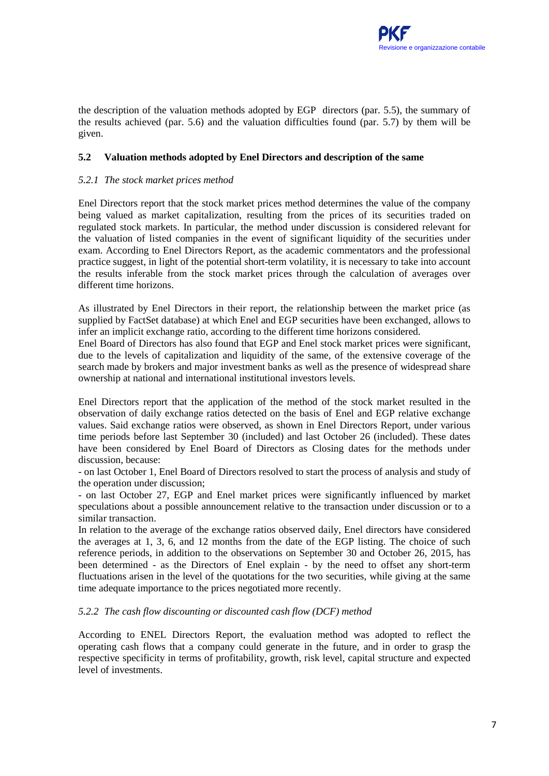the description of the valuation methods adopted by EGP directors (par. 5.5), the summary of the results achieved (par. 5.6) and the valuation difficulties found (par. 5.7) by them will be given.

#### **5.2 Valuation methods adopted by Enel Directors and description of the same**

#### *5.2.1 The stock market prices method*

Enel Directors report that the stock market prices method determines the value of the company being valued as market capitalization, resulting from the prices of its securities traded on regulated stock markets. In particular, the method under discussion is considered relevant for the valuation of listed companies in the event of significant liquidity of the securities under exam. According to Enel Directors Report, as the academic commentators and the professional practice suggest, in light of the potential short-term volatility, it is necessary to take into account the results inferable from the stock market prices through the calculation of averages over different time horizons.

As illustrated by Enel Directors in their report, the relationship between the market price (as supplied by FactSet database) at which Enel and EGP securities have been exchanged, allows to infer an implicit exchange ratio, according to the different time horizons considered.

Enel Board of Directors has also found that EGP and Enel stock market prices were significant, due to the levels of capitalization and liquidity of the same, of the extensive coverage of the search made by brokers and major investment banks as well as the presence of widespread share ownership at national and international institutional investors levels.

Enel Directors report that the application of the method of the stock market resulted in the observation of daily exchange ratios detected on the basis of Enel and EGP relative exchange values. Said exchange ratios were observed, as shown in Enel Directors Report, under various time periods before last September 30 (included) and last October 26 (included). These dates have been considered by Enel Board of Directors as Closing dates for the methods under discussion, because:

- on last October 1, Enel Board of Directors resolved to start the process of analysis and study of the operation under discussion;

- on last October 27, EGP and Enel market prices were significantly influenced by market speculations about a possible announcement relative to the transaction under discussion or to a similar transaction.

In relation to the average of the exchange ratios observed daily, Enel directors have considered the averages at 1, 3, 6, and 12 months from the date of the EGP listing. The choice of such reference periods, in addition to the observations on September 30 and October 26, 2015, has been determined - as the Directors of Enel explain - by the need to offset any short-term fluctuations arisen in the level of the quotations for the two securities, while giving at the same time adequate importance to the prices negotiated more recently.

#### *5.2.2 The cash flow discounting or discounted cash flow (DCF) method*

According to ENEL Directors Report, the evaluation method was adopted to reflect the operating cash flows that a company could generate in the future, and in order to grasp the respective specificity in terms of profitability, growth, risk level, capital structure and expected level of investments.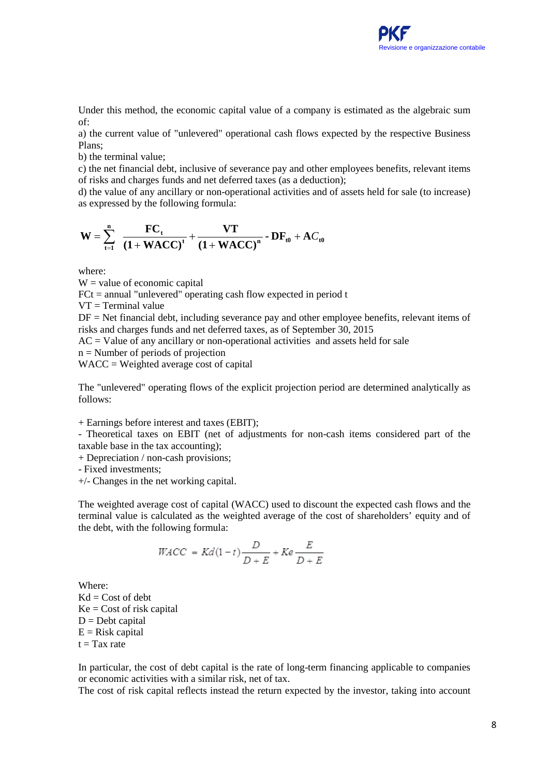

Under this method, the economic capital value of a company is estimated as the algebraic sum of:

a) the current value of "unlevered" operational cash flows expected by the respective Business Plans;

b) the terminal value;

c) the net financial debt, inclusive of severance pay and other employees benefits, relevant items of risks and charges funds and net deferred taxes (as a deduction);

d) the value of any ancillary or non-operational activities and of assets held for sale (to increase) as expressed by the following formula:

$$
W = \sum_{t=1}^{n} \frac{FC_{t}}{(1 + WACC)^{t}} + \frac{VT}{(1 + WACC)^{n}} - DF_{t0} + AC_{t0}
$$

where:

 $W =$  value of economic capital

 $FCt = annual "unlevered" operating cash flow expected in period t$ 

 $VT = Terminal value$ 

 $DF = Net$  financial debt, including severance pay and other employee benefits, relevant items of risks and charges funds and net deferred taxes, as of September 30, 2015

 $AC = Value$  of any ancillary or non-operational activities and assets held for sale

n = Number of periods of projection

WACC = Weighted average cost of capital

The "unlevered" operating flows of the explicit projection period are determined analytically as follows:

+ Earnings before interest and taxes (EBIT);

- Theoretical taxes on EBIT (net of adjustments for non-cash items considered part of the taxable base in the tax accounting);

+ Depreciation / non-cash provisions;

- Fixed investments;

+/- Changes in the net working capital.

The weighted average cost of capital (WACC) used to discount the expected cash flows and the terminal value is calculated as the weighted average of the cost of shareholders' equity and of the debt, with the following formula:

$$
WACC = Kd(1-t)\frac{D}{D+E} + Ke\frac{E}{D+E}
$$

Where:  $Kd = Cost of debt$  $Ke = Cost of risk capital$  $D =$ Debt capital  $E = Risk capital$  $t = Tax rate$ 

In particular, the cost of debt capital is the rate of long-term financing applicable to companies or economic activities with a similar risk, net of tax.

The cost of risk capital reflects instead the return expected by the investor, taking into account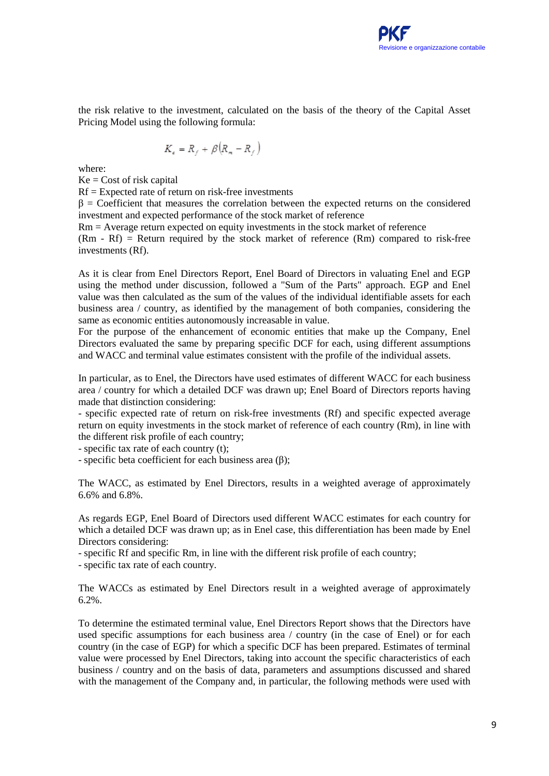the risk relative to the investment, calculated on the basis of the theory of the Capital Asset Pricing Model using the following formula:

$$
K_{\epsilon} = R_f + \beta (R_{\kappa} - R_f)
$$

where:

 $Ke = Cost of risk capital$ 

 $Rf =$  Expected rate of return on risk-free investments

 $\beta$  = Coefficient that measures the correlation between the expected returns on the considered investment and expected performance of the stock market of reference

Rm = Average return expected on equity investments in the stock market of reference

 $(Rm - Rf)$  = Return required by the stock market of reference  $(Rm)$  compared to risk-free investments (Rf).

As it is clear from Enel Directors Report, Enel Board of Directors in valuating Enel and EGP using the method under discussion, followed a "Sum of the Parts" approach. EGP and Enel value was then calculated as the sum of the values of the individual identifiable assets for each business area / country, as identified by the management of both companies, considering the same as economic entities autonomously increasable in value.

For the purpose of the enhancement of economic entities that make up the Company, Enel Directors evaluated the same by preparing specific DCF for each, using different assumptions and WACC and terminal value estimates consistent with the profile of the individual assets.

In particular, as to Enel, the Directors have used estimates of different WACC for each business area / country for which a detailed DCF was drawn up; Enel Board of Directors reports having made that distinction considering:

- specific expected rate of return on risk-free investments (Rf) and specific expected average return on equity investments in the stock market of reference of each country (Rm), in line with the different risk profile of each country;

- specific tax rate of each country (t);

- specific beta coefficient for each business area (β);

The WACC, as estimated by Enel Directors, results in a weighted average of approximately 6.6% and 6.8%.

As regards EGP, Enel Board of Directors used different WACC estimates for each country for which a detailed DCF was drawn up; as in Enel case, this differentiation has been made by Enel Directors considering:

- specific Rf and specific Rm, in line with the different risk profile of each country;

- specific tax rate of each country.

The WACCs as estimated by Enel Directors result in a weighted average of approximately 6.2%.

To determine the estimated terminal value, Enel Directors Report shows that the Directors have used specific assumptions for each business area / country (in the case of Enel) or for each country (in the case of EGP) for which a specific DCF has been prepared. Estimates of terminal value were processed by Enel Directors, taking into account the specific characteristics of each business / country and on the basis of data, parameters and assumptions discussed and shared with the management of the Company and, in particular, the following methods were used with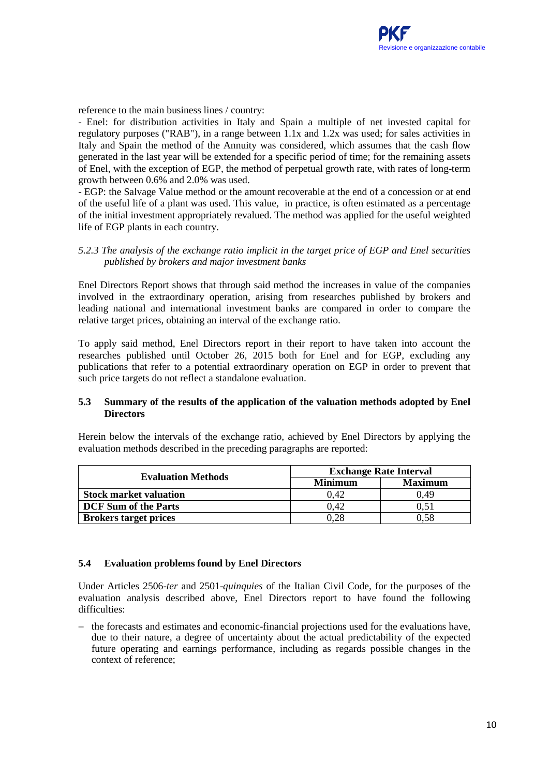reference to the main business lines / country:

- Enel: for distribution activities in Italy and Spain a multiple of net invested capital for regulatory purposes ("RAB"), in a range between 1.1x and 1.2x was used; for sales activities in Italy and Spain the method of the Annuity was considered, which assumes that the cash flow generated in the last year will be extended for a specific period of time; for the remaining assets of Enel, with the exception of EGP, the method of perpetual growth rate, with rates of long-term growth between 0.6% and 2.0% was used.

- EGP: the Salvage Value method or the amount recoverable at the end of a concession or at end of the useful life of a plant was used. This value, in practice, is often estimated as a percentage of the initial investment appropriately revalued. The method was applied for the useful weighted life of EGP plants in each country.

#### *5.2.3 The analysis of the exchange ratio implicit in the target price of EGP and Enel securities published by brokers and major investment banks*

Enel Directors Report shows that through said method the increases in value of the companies involved in the extraordinary operation, arising from researches published by brokers and leading national and international investment banks are compared in order to compare the relative target prices, obtaining an interval of the exchange ratio.

To apply said method, Enel Directors report in their report to have taken into account the researches published until October 26, 2015 both for Enel and for EGP, excluding any publications that refer to a potential extraordinary operation on EGP in order to prevent that such price targets do not reflect a standalone evaluation.

#### **5.3 Summary of the results of the application of the valuation methods adopted by Enel Directors**

Herein below the intervals of the exchange ratio, achieved by Enel Directors by applying the evaluation methods described in the preceding paragraphs are reported:

| <b>Evaluation Methods</b>     | <b>Exchange Rate Interval</b> |                |  |
|-------------------------------|-------------------------------|----------------|--|
|                               | <b>Minimum</b>                | <b>Maximum</b> |  |
| <b>Stock market valuation</b> | 0.42                          | 0.49           |  |
| <b>DCF</b> Sum of the Parts   | 0.42                          |                |  |
| <b>Brokers target prices</b>  |                               | J.58           |  |

## **5.4 Evaluation problems found by Enel Directors**

Under Articles 2506-*ter* and 2501-*quinquies* of the Italian Civil Code, for the purposes of the evaluation analysis described above, Enel Directors report to have found the following difficulties:

− the forecasts and estimates and economic-financial projections used for the evaluations have, due to their nature, a degree of uncertainty about the actual predictability of the expected future operating and earnings performance, including as regards possible changes in the context of reference;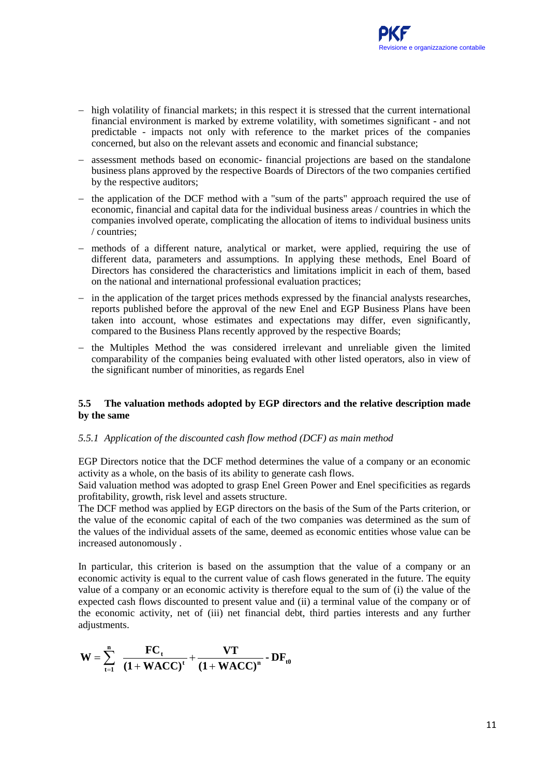- − high volatility of financial markets; in this respect it is stressed that the current international financial environment is marked by extreme volatility, with sometimes significant - and not predictable - impacts not only with reference to the market prices of the companies concerned, but also on the relevant assets and economic and financial substance;
- − assessment methods based on economic- financial projections are based on the standalone business plans approved by the respective Boards of Directors of the two companies certified by the respective auditors;
- − the application of the DCF method with a "sum of the parts" approach required the use of economic, financial and capital data for the individual business areas / countries in which the companies involved operate, complicating the allocation of items to individual business units / countries;
- − methods of a different nature, analytical or market, were applied, requiring the use of different data, parameters and assumptions. In applying these methods, Enel Board of Directors has considered the characteristics and limitations implicit in each of them, based on the national and international professional evaluation practices;
- − in the application of the target prices methods expressed by the financial analysts researches, reports published before the approval of the new Enel and EGP Business Plans have been taken into account, whose estimates and expectations may differ, even significantly, compared to the Business Plans recently approved by the respective Boards;
- − the Multiples Method the was considered irrelevant and unreliable given the limited comparability of the companies being evaluated with other listed operators, also in view of the significant number of minorities, as regards Enel

#### **5.5 The valuation methods adopted by EGP directors and the relative description made by the same**

## *5.5.1 Application of the discounted cash flow method (DCF) as main method*

EGP Directors notice that the DCF method determines the value of a company or an economic activity as a whole, on the basis of its ability to generate cash flows.

Said valuation method was adopted to grasp Enel Green Power and Enel specificities as regards profitability, growth, risk level and assets structure.

The DCF method was applied by EGP directors on the basis of the Sum of the Parts criterion, or the value of the economic capital of each of the two companies was determined as the sum of the values of the individual assets of the same, deemed as economic entities whose value can be increased autonomously .

In particular, this criterion is based on the assumption that the value of a company or an economic activity is equal to the current value of cash flows generated in the future. The equity value of a company or an economic activity is therefore equal to the sum of (i) the value of the expected cash flows discounted to present value and (ii) a terminal value of the company or of the economic activity, net of (iii) net financial debt, third parties interests and any further adjustments.

$$
W=\sum_{t=1}^n\ \frac{FC_t}{\left(1+WACC\right)^t}+\frac{VT}{\left(1+WACC\right)^n}-DF_{t0}
$$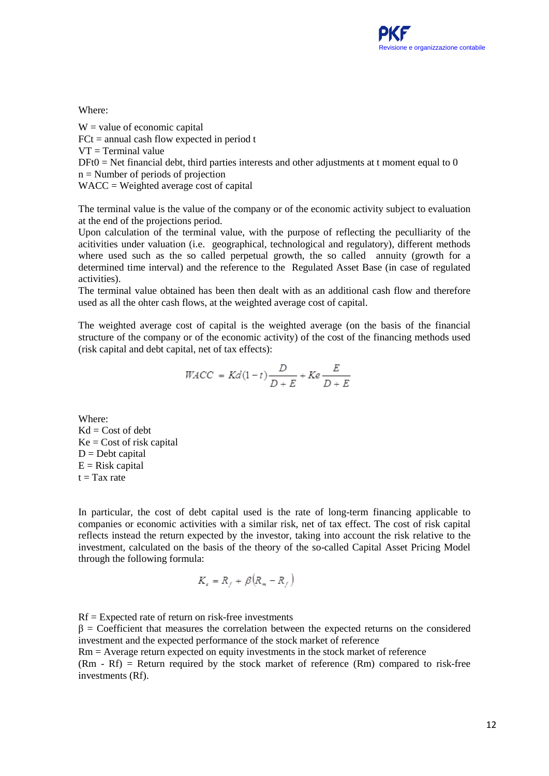#### Where:

 $W =$  value of economic capital  $FCt = annual cash flow expected in period t$  $VT = Terminal$  value  $DFt0 = Net financial debt, third parties interests and other adjustments at t moment equal to 0$ n = Number of periods of projection WACC = Weighted average cost of capital

The terminal value is the value of the company or of the economic activity subject to evaluation at the end of the projections period.

Upon calculation of the terminal value, with the purpose of reflecting the peculliarity of the acitivities under valuation (i.e. geographical, technological and regulatory), different methods where used such as the so called perpetual growth, the so called annuity (growth for a determined time interval) and the reference to the Regulated Asset Base (in case of regulated activities).

The terminal value obtained has been then dealt with as an additional cash flow and therefore used as all the ohter cash flows, at the weighted average cost of capital.

The weighted average cost of capital is the weighted average (on the basis of the financial structure of the company or of the economic activity) of the cost of the financing methods used (risk capital and debt capital, net of tax effects):

$$
WACC = Kd(1-t)\frac{D}{D+E} + Ke\frac{E}{D+E}
$$

Where:  $Kd = Cost of debt$  $Ke = Cost of risk capital$  $D =$ Debt capital  $E = Risk capital$  $t = Tax rate$ 

In particular, the cost of debt capital used is the rate of long-term financing applicable to companies or economic activities with a similar risk, net of tax effect. The cost of risk capital reflects instead the return expected by the investor, taking into account the risk relative to the investment, calculated on the basis of the theory of the so-called Capital Asset Pricing Model through the following formula:

$$
K_{\epsilon} = R_f + \beta (R_m - R_f)
$$

 $Rf =$  Expected rate of return on risk-free investments  $\beta$  = Coefficient that measures the correlation between the expected returns on the considered investment and the expected performance of the stock market of reference Rm = Average return expected on equity investments in the stock market of reference

 $(Rm - Rf)$  = Return required by the stock market of reference  $(Rm)$  compared to risk-free investments (Rf).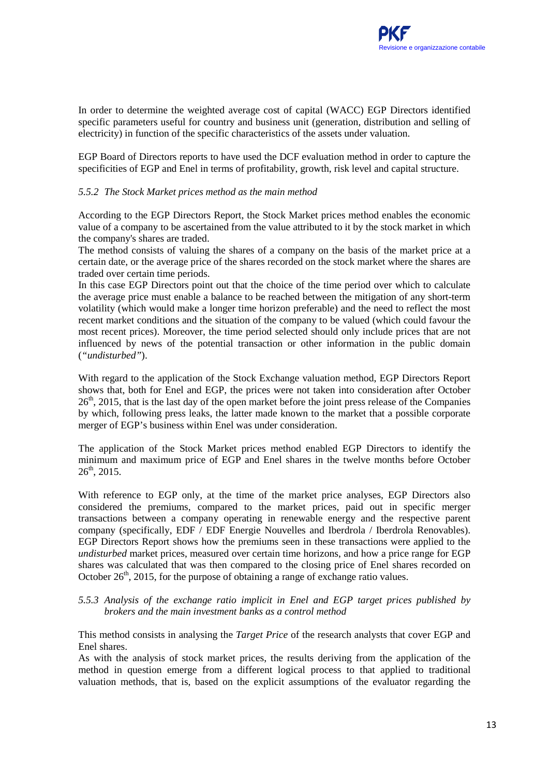In order to determine the weighted average cost of capital (WACC) EGP Directors identified specific parameters useful for country and business unit (generation, distribution and selling of electricity) in function of the specific characteristics of the assets under valuation.

EGP Board of Directors reports to have used the DCF evaluation method in order to capture the specificities of EGP and Enel in terms of profitability, growth, risk level and capital structure.

#### *5.5.2 The Stock Market prices method as the main method*

According to the EGP Directors Report, the Stock Market prices method enables the economic value of a company to be ascertained from the value attributed to it by the stock market in which the company's shares are traded.

The method consists of valuing the shares of a company on the basis of the market price at a certain date, or the average price of the shares recorded on the stock market where the shares are traded over certain time periods.

In this case EGP Directors point out that the choice of the time period over which to calculate the average price must enable a balance to be reached between the mitigation of any short-term volatility (which would make a longer time horizon preferable) and the need to reflect the most recent market conditions and the situation of the company to be valued (which could favour the most recent prices). Moreover, the time period selected should only include prices that are not influenced by news of the potential transaction or other information in the public domain (*"undisturbed"*).

With regard to the application of the Stock Exchange valuation method, EGP Directors Report shows that, both for Enel and EGP, the prices were not taken into consideration after October  $26<sup>th</sup>$ , 2015, that is the last day of the open market before the joint press release of the Companies by which, following press leaks, the latter made known to the market that a possible corporate merger of EGP's business within Enel was under consideration.

The application of the Stock Market prices method enabled EGP Directors to identify the minimum and maximum price of EGP and Enel shares in the twelve months before October  $26<sup>th</sup>$ , 2015.

With reference to EGP only, at the time of the market price analyses, EGP Directors also considered the premiums, compared to the market prices, paid out in specific merger transactions between a company operating in renewable energy and the respective parent company (specifically, EDF / EDF Energie Nouvelles and Iberdrola / Iberdrola Renovables). EGP Directors Report shows how the premiums seen in these transactions were applied to the *undisturbed* market prices, measured over certain time horizons, and how a price range for EGP shares was calculated that was then compared to the closing price of Enel shares recorded on October  $26<sup>th</sup>$ , 2015, for the purpose of obtaining a range of exchange ratio values.

#### *5.5.3 Analysis of the exchange ratio implicit in Enel and EGP target prices published by brokers and the main investment banks as a control method*

This method consists in analysing the *Target Price* of the research analysts that cover EGP and Enel shares.

As with the analysis of stock market prices, the results deriving from the application of the method in question emerge from a different logical process to that applied to traditional valuation methods, that is, based on the explicit assumptions of the evaluator regarding the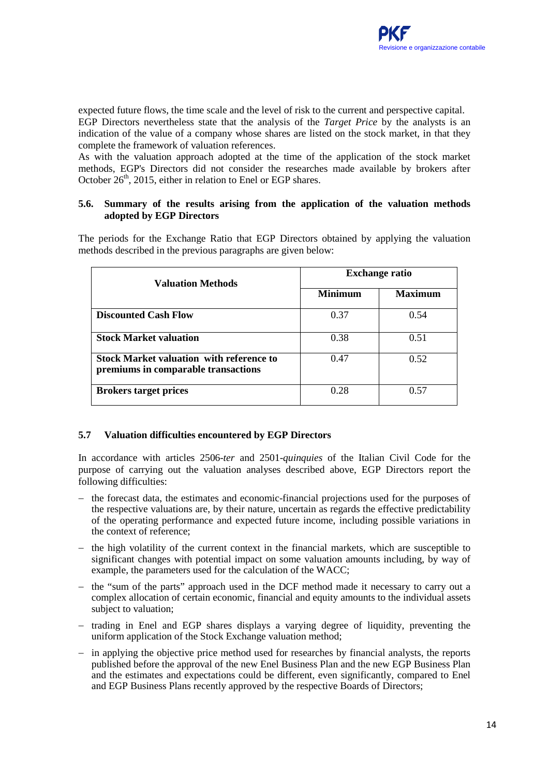expected future flows, the time scale and the level of risk to the current and perspective capital. EGP Directors nevertheless state that the analysis of the *Target Price* by the analysts is an indication of the value of a company whose shares are listed on the stock market, in that they complete the framework of valuation references.

As with the valuation approach adopted at the time of the application of the stock market methods, EGP's Directors did not consider the researches made available by brokers after October  $26<sup>th</sup>$ , 2015, either in relation to Enel or EGP shares.

## **5.6. Summary of the results arising from the application of the valuation methods adopted by EGP Directors**

The periods for the Exchange Ratio that EGP Directors obtained by applying the valuation methods described in the previous paragraphs are given below:

| <b>Valuation Methods</b>                                                               | <b>Exchange ratio</b> |                |  |
|----------------------------------------------------------------------------------------|-----------------------|----------------|--|
|                                                                                        | <b>Minimum</b>        | <b>Maximum</b> |  |
| <b>Discounted Cash Flow</b>                                                            | 0.37                  | 0.54           |  |
| <b>Stock Market valuation</b>                                                          | 0.38                  | 0.51           |  |
| <b>Stock Market valuation with reference to</b><br>premiums in comparable transactions | 0.47                  | 0.52           |  |
| <b>Brokers target prices</b>                                                           | 0.28                  | 0.57           |  |

## **5.7 Valuation difficulties encountered by EGP Directors**

In accordance with articles 2506-*ter* and 2501-*quinquies* of the Italian Civil Code for the purpose of carrying out the valuation analyses described above, EGP Directors report the following difficulties:

- − the forecast data, the estimates and economic-financial projections used for the purposes of the respective valuations are, by their nature, uncertain as regards the effective predictability of the operating performance and expected future income, including possible variations in the context of reference;
- − the high volatility of the current context in the financial markets, which are susceptible to significant changes with potential impact on some valuation amounts including, by way of example, the parameters used for the calculation of the WACC;
- − the "sum of the parts" approach used in the DCF method made it necessary to carry out a complex allocation of certain economic, financial and equity amounts to the individual assets subject to valuation;
- − trading in Enel and EGP shares displays a varying degree of liquidity, preventing the uniform application of the Stock Exchange valuation method;
- − in applying the objective price method used for researches by financial analysts, the reports published before the approval of the new Enel Business Plan and the new EGP Business Plan and the estimates and expectations could be different, even significantly, compared to Enel and EGP Business Plans recently approved by the respective Boards of Directors;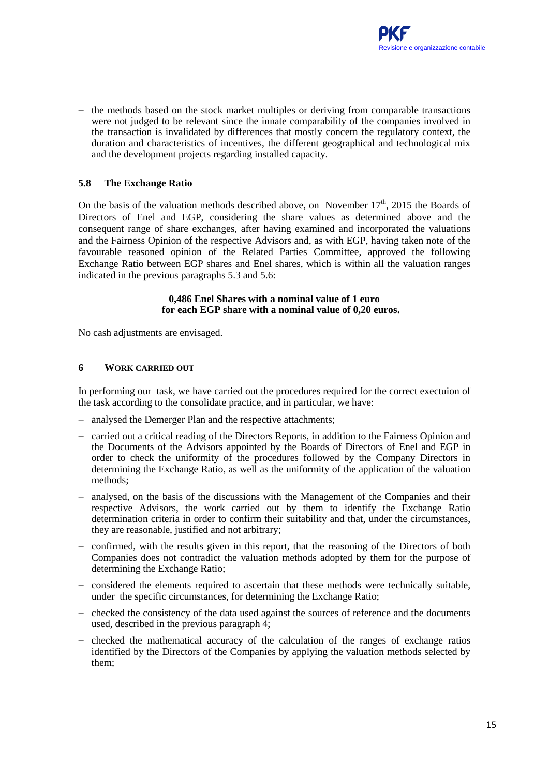− the methods based on the stock market multiples or deriving from comparable transactions were not judged to be relevant since the innate comparability of the companies involved in the transaction is invalidated by differences that mostly concern the regulatory context, the duration and characteristics of incentives, the different geographical and technological mix and the development projects regarding installed capacity.

# **5.8 The Exchange Ratio**

On the basis of the valuation methods described above, on November  $17<sup>th</sup>$ , 2015 the Boards of Directors of Enel and EGP, considering the share values as determined above and the consequent range of share exchanges, after having examined and incorporated the valuations and the Fairness Opinion of the respective Advisors and, as with EGP, having taken note of the favourable reasoned opinion of the Related Parties Committee, approved the following Exchange Ratio between EGP shares and Enel shares, which is within all the valuation ranges indicated in the previous paragraphs 5.3 and 5.6:

#### **0,486 Enel Shares with a nominal value of 1 euro for each EGP share with a nominal value of 0,20 euros.**

No cash adjustments are envisaged.

## **6 WORK CARRIED OUT**

In performing our task, we have carried out the procedures required for the correct exectuion of the task according to the consolidate practice, and in particular, we have:

- − analysed the Demerger Plan and the respective attachments;
- − carried out a critical reading of the Directors Reports, in addition to the Fairness Opinion and the Documents of the Advisors appointed by the Boards of Directors of Enel and EGP in order to check the uniformity of the procedures followed by the Company Directors in determining the Exchange Ratio, as well as the uniformity of the application of the valuation methods;
- − analysed, on the basis of the discussions with the Management of the Companies and their respective Advisors, the work carried out by them to identify the Exchange Ratio determination criteria in order to confirm their suitability and that, under the circumstances, they are reasonable, justified and not arbitrary;
- − confirmed, with the results given in this report, that the reasoning of the Directors of both Companies does not contradict the valuation methods adopted by them for the purpose of determining the Exchange Ratio;
- − considered the elements required to ascertain that these methods were technically suitable, under the specific circumstances, for determining the Exchange Ratio;
- − checked the consistency of the data used against the sources of reference and the documents used, described in the previous paragraph 4;
- − checked the mathematical accuracy of the calculation of the ranges of exchange ratios identified by the Directors of the Companies by applying the valuation methods selected by them;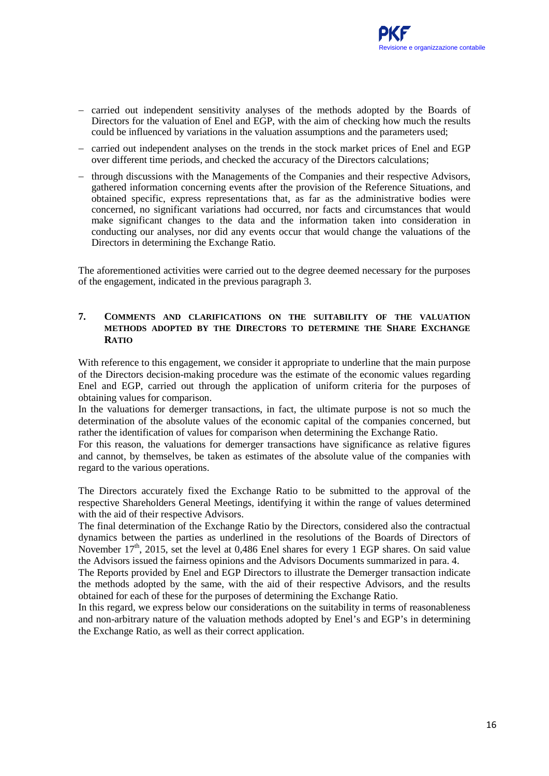- − carried out independent sensitivity analyses of the methods adopted by the Boards of Directors for the valuation of Enel and EGP, with the aim of checking how much the results could be influenced by variations in the valuation assumptions and the parameters used;
- − carried out independent analyses on the trends in the stock market prices of Enel and EGP over different time periods, and checked the accuracy of the Directors calculations;
- − through discussions with the Managements of the Companies and their respective Advisors, gathered information concerning events after the provision of the Reference Situations, and obtained specific, express representations that, as far as the administrative bodies were concerned, no significant variations had occurred, nor facts and circumstances that would make significant changes to the data and the information taken into consideration in conducting our analyses, nor did any events occur that would change the valuations of the Directors in determining the Exchange Ratio.

The aforementioned activities were carried out to the degree deemed necessary for the purposes of the engagement, indicated in the previous paragraph 3.

#### **7. COMMENTS AND CLARIFICATIONS ON THE SUITABILITY OF THE VALUATION METHODS ADOPTED BY THE DIRECTORS TO DETERMINE THE SHARE EXCHANGE RATIO**

With reference to this engagement, we consider it appropriate to underline that the main purpose of the Directors decision-making procedure was the estimate of the economic values regarding Enel and EGP, carried out through the application of uniform criteria for the purposes of obtaining values for comparison.

In the valuations for demerger transactions, in fact, the ultimate purpose is not so much the determination of the absolute values of the economic capital of the companies concerned, but rather the identification of values for comparison when determining the Exchange Ratio.

For this reason, the valuations for demerger transactions have significance as relative figures and cannot, by themselves, be taken as estimates of the absolute value of the companies with regard to the various operations.

The Directors accurately fixed the Exchange Ratio to be submitted to the approval of the respective Shareholders General Meetings, identifying it within the range of values determined with the aid of their respective Advisors.

The final determination of the Exchange Ratio by the Directors, considered also the contractual dynamics between the parties as underlined in the resolutions of the Boards of Directors of November  $17<sup>th</sup>$ , 2015, set the level at 0,486 Enel shares for every 1 EGP shares. On said value the Advisors issued the fairness opinions and the Advisors Documents summarized in para. 4.

The Reports provided by Enel and EGP Directors to illustrate the Demerger transaction indicate the methods adopted by the same, with the aid of their respective Advisors, and the results obtained for each of these for the purposes of determining the Exchange Ratio.

In this regard, we express below our considerations on the suitability in terms of reasonableness and non-arbitrary nature of the valuation methods adopted by Enel's and EGP's in determining the Exchange Ratio, as well as their correct application.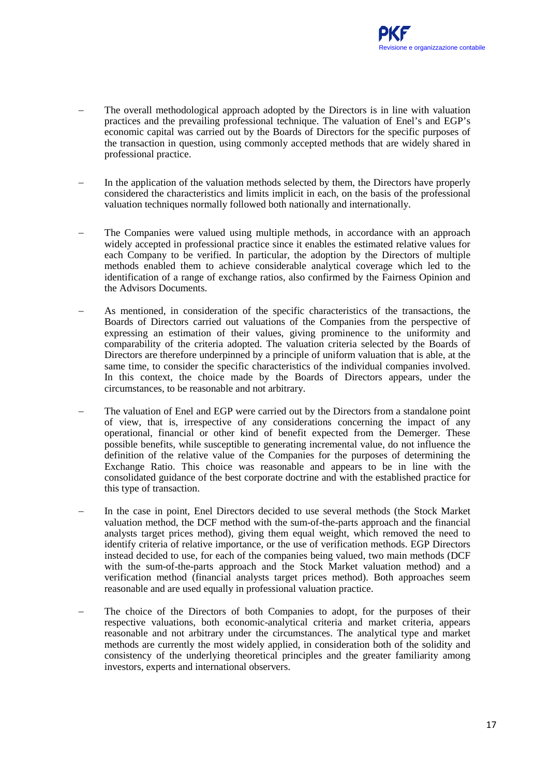- The overall methodological approach adopted by the Directors is in line with valuation practices and the prevailing professional technique. The valuation of Enel's and EGP's economic capital was carried out by the Boards of Directors for the specific purposes of the transaction in question, using commonly accepted methods that are widely shared in professional practice.
- In the application of the valuation methods selected by them, the Directors have properly considered the characteristics and limits implicit in each, on the basis of the professional valuation techniques normally followed both nationally and internationally.
- The Companies were valued using multiple methods, in accordance with an approach widely accepted in professional practice since it enables the estimated relative values for each Company to be verified. In particular, the adoption by the Directors of multiple methods enabled them to achieve considerable analytical coverage which led to the identification of a range of exchange ratios, also confirmed by the Fairness Opinion and the Advisors Documents.
- As mentioned, in consideration of the specific characteristics of the transactions, the Boards of Directors carried out valuations of the Companies from the perspective of expressing an estimation of their values, giving prominence to the uniformity and comparability of the criteria adopted. The valuation criteria selected by the Boards of Directors are therefore underpinned by a principle of uniform valuation that is able, at the same time, to consider the specific characteristics of the individual companies involved. In this context, the choice made by the Boards of Directors appears, under the circumstances, to be reasonable and not arbitrary.
- The valuation of Enel and EGP were carried out by the Directors from a standalone point of view, that is, irrespective of any considerations concerning the impact of any operational, financial or other kind of benefit expected from the Demerger. These possible benefits, while susceptible to generating incremental value, do not influence the definition of the relative value of the Companies for the purposes of determining the Exchange Ratio. This choice was reasonable and appears to be in line with the consolidated guidance of the best corporate doctrine and with the established practice for this type of transaction.
- In the case in point, Enel Directors decided to use several methods (the Stock Market valuation method, the DCF method with the sum-of-the-parts approach and the financial analysts target prices method), giving them equal weight, which removed the need to identify criteria of relative importance, or the use of verification methods. EGP Directors instead decided to use, for each of the companies being valued, two main methods (DCF with the sum-of-the-parts approach and the Stock Market valuation method) and a verification method (financial analysts target prices method). Both approaches seem reasonable and are used equally in professional valuation practice.
- The choice of the Directors of both Companies to adopt, for the purposes of their respective valuations, both economic-analytical criteria and market criteria, appears reasonable and not arbitrary under the circumstances. The analytical type and market methods are currently the most widely applied, in consideration both of the solidity and consistency of the underlying theoretical principles and the greater familiarity among investors, experts and international observers.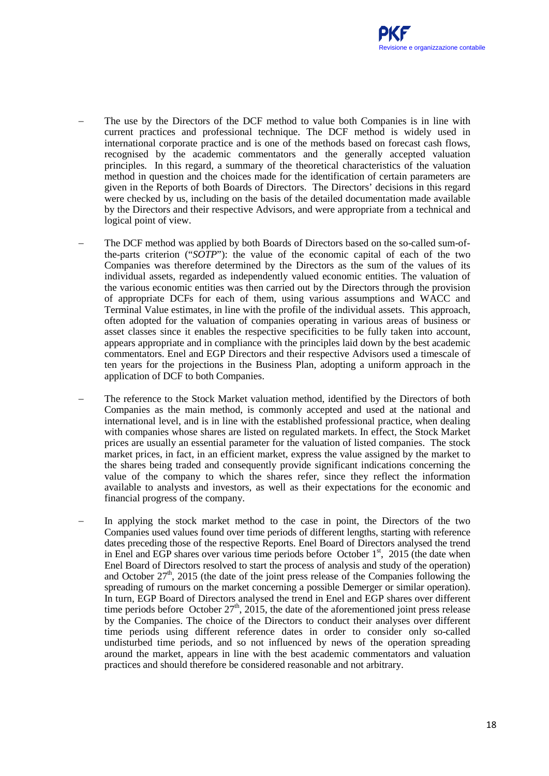- The use by the Directors of the DCF method to value both Companies is in line with current practices and professional technique. The DCF method is widely used in international corporate practice and is one of the methods based on forecast cash flows, recognised by the academic commentators and the generally accepted valuation principles. In this regard, a summary of the theoretical characteristics of the valuation method in question and the choices made for the identification of certain parameters are given in the Reports of both Boards of Directors. The Directors' decisions in this regard were checked by us, including on the basis of the detailed documentation made available by the Directors and their respective Advisors, and were appropriate from a technical and logical point of view.
- The DCF method was applied by both Boards of Directors based on the so-called sum-ofthe-parts criterion ("*SOTP*"): the value of the economic capital of each of the two Companies was therefore determined by the Directors as the sum of the values of its individual assets, regarded as independently valued economic entities. The valuation of the various economic entities was then carried out by the Directors through the provision of appropriate DCFs for each of them, using various assumptions and WACC and Terminal Value estimates, in line with the profile of the individual assets. This approach, often adopted for the valuation of companies operating in various areas of business or asset classes since it enables the respective specificities to be fully taken into account, appears appropriate and in compliance with the principles laid down by the best academic commentators. Enel and EGP Directors and their respective Advisors used a timescale of ten years for the projections in the Business Plan, adopting a uniform approach in the application of DCF to both Companies.
- The reference to the Stock Market valuation method, identified by the Directors of both Companies as the main method, is commonly accepted and used at the national and international level, and is in line with the established professional practice, when dealing with companies whose shares are listed on regulated markets. In effect, the Stock Market prices are usually an essential parameter for the valuation of listed companies. The stock market prices, in fact, in an efficient market, express the value assigned by the market to the shares being traded and consequently provide significant indications concerning the value of the company to which the shares refer, since they reflect the information available to analysts and investors, as well as their expectations for the economic and financial progress of the company.
- In applying the stock market method to the case in point, the Directors of the two Companies used values found over time periods of different lengths, starting with reference dates preceding those of the respective Reports. Enel Board of Directors analysed the trend in Enel and EGP shares over various time periods before October  $1<sup>st</sup>$ , 2015 (the date when Enel Board of Directors resolved to start the process of analysis and study of the operation) and October  $27<sup>th</sup>$ , 2015 (the date of the joint press release of the Companies following the spreading of rumours on the market concerning a possible Demerger or similar operation). In turn, EGP Board of Directors analysed the trend in Enel and EGP shares over different time periods before October  $27<sup>th</sup>$ , 2015, the date of the aforementioned joint press release by the Companies. The choice of the Directors to conduct their analyses over different time periods using different reference dates in order to consider only so-called undisturbed time periods, and so not influenced by news of the operation spreading around the market, appears in line with the best academic commentators and valuation practices and should therefore be considered reasonable and not arbitrary.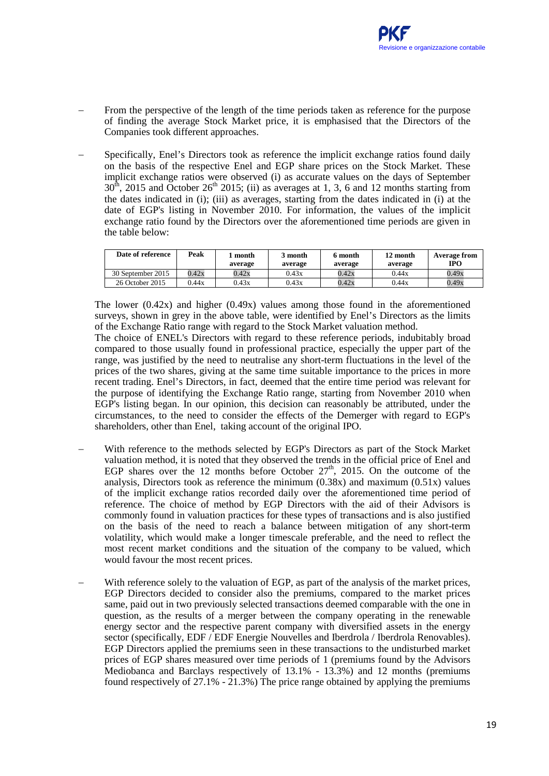- From the perspective of the length of the time periods taken as reference for the purpose of finding the average Stock Market price, it is emphasised that the Directors of the Companies took different approaches.
- Specifically, Enel's Directors took as reference the implicit exchange ratios found daily on the basis of the respective Enel and EGP share prices on the Stock Market. These implicit exchange ratios were observed (i) as accurate values on the days of September  $30<sup>th</sup>$ , 2015 and October 26<sup>th</sup> 2015; (ii) as averages at 1, 3, 6 and 12 months starting from the dates indicated in (i); (iii) as averages, starting from the dates indicated in (i) at the date of EGP's listing in November 2010. For information, the values of the implicit exchange ratio found by the Directors over the aforementioned time periods are given in the table below:

| Date of reference | Peak  | month<br>average | 3 month<br>average | 6 month<br>average | 12 month<br>average | Average from<br><b>IPO</b> |
|-------------------|-------|------------------|--------------------|--------------------|---------------------|----------------------------|
| 30 September 2015 | 0.42x | 0.42x            | 0.43x              | 0.42x              | 0.44x               | 0.49x                      |
| 26 October 2015   | 0.44x | 0.43x            | 0.43x              | 0.42x              | 0.44x               | 0.49x                      |

The lower  $(0.42x)$  and higher  $(0.49x)$  values among those found in the aforementioned surveys, shown in grey in the above table, were identified by Enel's Directors as the limits of the Exchange Ratio range with regard to the Stock Market valuation method.

The choice of ENEL's Directors with regard to these reference periods, indubitably broad compared to those usually found in professional practice, especially the upper part of the range, was justified by the need to neutralise any short-term fluctuations in the level of the prices of the two shares, giving at the same time suitable importance to the prices in more recent trading. Enel's Directors, in fact, deemed that the entire time period was relevant for the purpose of identifying the Exchange Ratio range, starting from November 2010 when EGP's listing began. In our opinion, this decision can reasonably be attributed, under the circumstances, to the need to consider the effects of the Demerger with regard to EGP's shareholders, other than Enel, taking account of the original IPO.

- With reference to the methods selected by EGP's Directors as part of the Stock Market valuation method, it is noted that they observed the trends in the official price of Enel and EGP shares over the 12 months before October  $27<sup>th</sup>$ , 2015. On the outcome of the analysis, Directors took as reference the minimum  $(0.38x)$  and maximum  $(0.51x)$  values of the implicit exchange ratios recorded daily over the aforementioned time period of reference. The choice of method by EGP Directors with the aid of their Advisors is commonly found in valuation practices for these types of transactions and is also justified on the basis of the need to reach a balance between mitigation of any short-term volatility, which would make a longer timescale preferable, and the need to reflect the most recent market conditions and the situation of the company to be valued, which would favour the most recent prices.
- With reference solely to the valuation of EGP, as part of the analysis of the market prices, EGP Directors decided to consider also the premiums, compared to the market prices same, paid out in two previously selected transactions deemed comparable with the one in question, as the results of a merger between the company operating in the renewable energy sector and the respective parent company with diversified assets in the energy sector (specifically, EDF / EDF Energie Nouvelles and Iberdrola / Iberdrola Renovables). EGP Directors applied the premiums seen in these transactions to the undisturbed market prices of EGP shares measured over time periods of 1 (premiums found by the Advisors Mediobanca and Barclays respectively of 13.1% - 13.3%) and 12 months (premiums found respectively of  $27.1\%$  -  $21.3\%$ ) The price range obtained by applying the premiums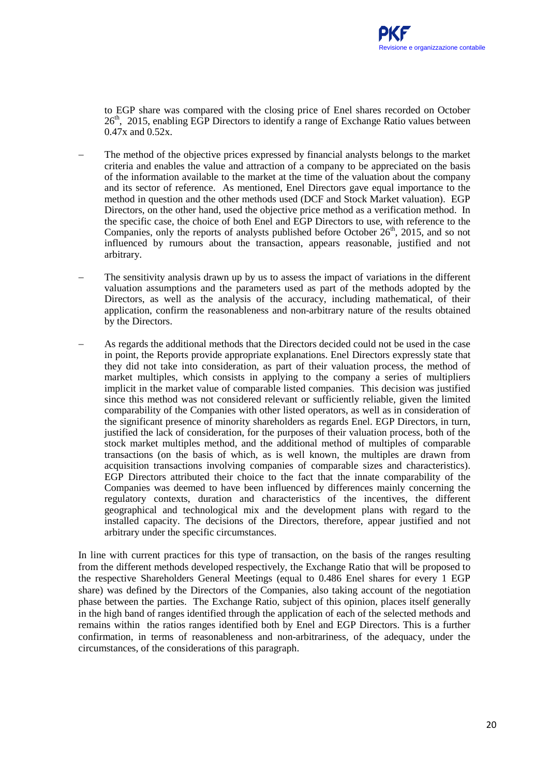to EGP share was compared with the closing price of Enel shares recorded on October  $26<sup>th</sup>$ , 2015, enabling EGP Directors to identify a range of Exchange Ratio values between 0.47x and 0.52x.

- The method of the objective prices expressed by financial analysts belongs to the market criteria and enables the value and attraction of a company to be appreciated on the basis of the information available to the market at the time of the valuation about the company and its sector of reference. As mentioned, Enel Directors gave equal importance to the method in question and the other methods used (DCF and Stock Market valuation). EGP Directors, on the other hand, used the objective price method as a verification method. In the specific case, the choice of both Enel and EGP Directors to use, with reference to the Companies, only the reports of analysts published before October  $26<sup>th</sup>$ , 2015, and so not influenced by rumours about the transaction, appears reasonable, justified and not arbitrary.
- The sensitivity analysis drawn up by us to assess the impact of variations in the different valuation assumptions and the parameters used as part of the methods adopted by the Directors, as well as the analysis of the accuracy, including mathematical, of their application, confirm the reasonableness and non-arbitrary nature of the results obtained by the Directors.
- As regards the additional methods that the Directors decided could not be used in the case in point, the Reports provide appropriate explanations. Enel Directors expressly state that they did not take into consideration, as part of their valuation process, the method of market multiples, which consists in applying to the company a series of multipliers implicit in the market value of comparable listed companies. This decision was justified since this method was not considered relevant or sufficiently reliable, given the limited comparability of the Companies with other listed operators, as well as in consideration of the significant presence of minority shareholders as regards Enel. EGP Directors, in turn, justified the lack of consideration, for the purposes of their valuation process, both of the stock market multiples method, and the additional method of multiples of comparable transactions (on the basis of which, as is well known, the multiples are drawn from acquisition transactions involving companies of comparable sizes and characteristics). EGP Directors attributed their choice to the fact that the innate comparability of the Companies was deemed to have been influenced by differences mainly concerning the regulatory contexts, duration and characteristics of the incentives, the different geographical and technological mix and the development plans with regard to the installed capacity. The decisions of the Directors, therefore, appear justified and not arbitrary under the specific circumstances.

In line with current practices for this type of transaction, on the basis of the ranges resulting from the different methods developed respectively, the Exchange Ratio that will be proposed to the respective Shareholders General Meetings (equal to 0.486 Enel shares for every 1 EGP share) was defined by the Directors of the Companies, also taking account of the negotiation phase between the parties. The Exchange Ratio, subject of this opinion, places itself generally in the high band of ranges identified through the application of each of the selected methods and remains within the ratios ranges identified both by Enel and EGP Directors. This is a further confirmation, in terms of reasonableness and non-arbitrariness, of the adequacy, under the circumstances, of the considerations of this paragraph.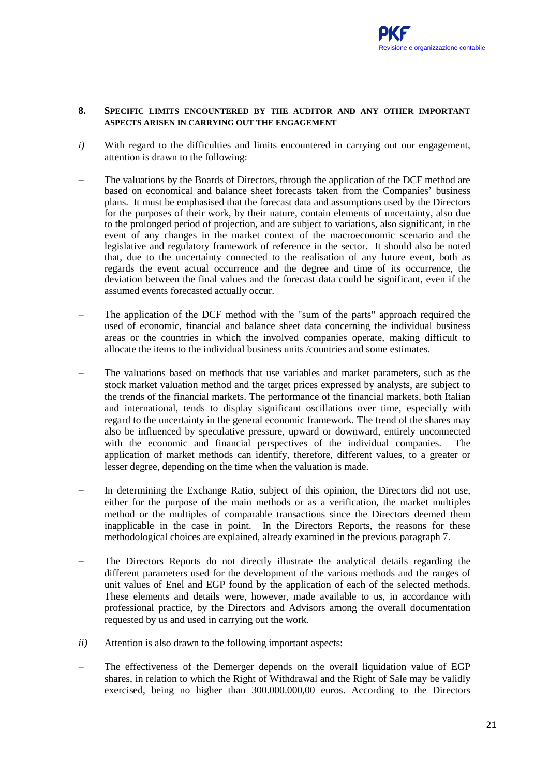#### **8. SPECIFIC LIMITS ENCOUNTERED BY THE AUDITOR AND ANY OTHER IMPORTANT ASPECTS ARISEN IN CARRYING OUT THE ENGAGEMENT**

- *i*) With regard to the difficulties and limits encountered in carrying out our engagement, attention is drawn to the following:
- The valuations by the Boards of Directors, through the application of the DCF method are based on economical and balance sheet forecasts taken from the Companies' business plans. It must be emphasised that the forecast data and assumptions used by the Directors for the purposes of their work, by their nature, contain elements of uncertainty, also due to the prolonged period of projection, and are subject to variations, also significant, in the event of any changes in the market context of the macroeconomic scenario and the legislative and regulatory framework of reference in the sector. It should also be noted that, due to the uncertainty connected to the realisation of any future event, both as regards the event actual occurrence and the degree and time of its occurrence, the deviation between the final values and the forecast data could be significant, even if the assumed events forecasted actually occur.
- The application of the DCF method with the "sum of the parts" approach required the used of economic, financial and balance sheet data concerning the individual business areas or the countries in which the involved companies operate, making difficult to allocate the items to the individual business units /countries and some estimates.
- The valuations based on methods that use variables and market parameters, such as the stock market valuation method and the target prices expressed by analysts, are subject to the trends of the financial markets. The performance of the financial markets, both Italian and international, tends to display significant oscillations over time, especially with regard to the uncertainty in the general economic framework. The trend of the shares may also be influenced by speculative pressure, upward or downward, entirely unconnected with the economic and financial perspectives of the individual companies. The application of market methods can identify, therefore, different values, to a greater or lesser degree, depending on the time when the valuation is made.
- In determining the Exchange Ratio, subject of this opinion, the Directors did not use, either for the purpose of the main methods or as a verification, the market multiples method or the multiples of comparable transactions since the Directors deemed them inapplicable in the case in point. In the Directors Reports, the reasons for these methodological choices are explained, already examined in the previous paragraph 7.
- The Directors Reports do not directly illustrate the analytical details regarding the different parameters used for the development of the various methods and the ranges of unit values of Enel and EGP found by the application of each of the selected methods. These elements and details were, however, made available to us, in accordance with professional practice, by the Directors and Advisors among the overall documentation requested by us and used in carrying out the work.
- *ii)* Attention is also drawn to the following important aspects:
- The effectiveness of the Demerger depends on the overall liquidation value of EGP shares, in relation to which the Right of Withdrawal and the Right of Sale may be validly exercised, being no higher than 300.000.000,00 euros. According to the Directors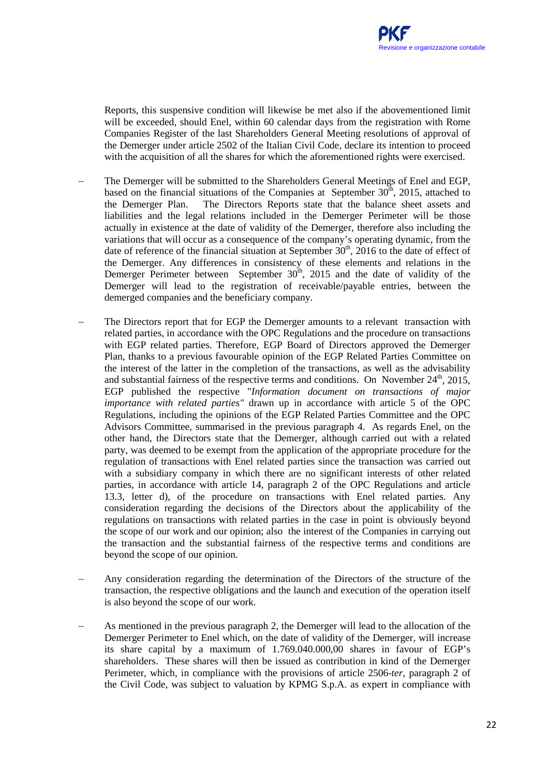Reports, this suspensive condition will likewise be met also if the abovementioned limit will be exceeded, should Enel, within 60 calendar days from the registration with Rome Companies Register of the last Shareholders General Meeting resolutions of approval of the Demerger under article 2502 of the Italian Civil Code, declare its intention to proceed with the acquisition of all the shares for which the aforementioned rights were exercised.

- The Demerger will be submitted to the Shareholders General Meetings of Enel and EGP, based on the financial situations of the Companies at September  $30<sup>th</sup>$ , 2015, attached to the Demerger Plan. The Directors Reports state that the balance sheet assets and liabilities and the legal relations included in the Demerger Perimeter will be those actually in existence at the date of validity of the Demerger, therefore also including the variations that will occur as a consequence of the company's operating dynamic, from the date of reference of the financial situation at September  $30<sup>th</sup>$ , 2016 to the date of effect of the Demerger. Any differences in consistency of these elements and relations in the Demerger Perimeter between September 30<sup>th</sup>, 2015 and the date of validity of the Demerger will lead to the registration of receivable/payable entries, between the demerged companies and the beneficiary company.
- The Directors report that for EGP the Demerger amounts to a relevant transaction with related parties, in accordance with the OPC Regulations and the procedure on transactions with EGP related parties. Therefore, EGP Board of Directors approved the Demerger Plan, thanks to a previous favourable opinion of the EGP Related Parties Committee on the interest of the latter in the completion of the transactions, as well as the advisability and substantial fairness of the respective terms and conditions. On November  $24<sup>th</sup>$ ,  $2015$ , EGP published the respective "*Information document on transactions of major importance with related parties"* drawn up in accordance with article 5 of the OPC Regulations, including the opinions of the EGP Related Parties Committee and the OPC Advisors Committee, summarised in the previous paragraph 4. As regards Enel, on the other hand, the Directors state that the Demerger, although carried out with a related party, was deemed to be exempt from the application of the appropriate procedure for the regulation of transactions with Enel related parties since the transaction was carried out with a subsidiary company in which there are no significant interests of other related parties, in accordance with article 14, paragraph 2 of the OPC Regulations and article 13.3, letter d), of the procedure on transactions with Enel related parties. Any consideration regarding the decisions of the Directors about the applicability of the regulations on transactions with related parties in the case in point is obviously beyond the scope of our work and our opinion; also the interest of the Companies in carrying out the transaction and the substantial fairness of the respective terms and conditions are beyond the scope of our opinion.
- − Any consideration regarding the determination of the Directors of the structure of the transaction, the respective obligations and the launch and execution of the operation itself is also beyond the scope of our work.
- As mentioned in the previous paragraph 2, the Demerger will lead to the allocation of the Demerger Perimeter to Enel which, on the date of validity of the Demerger, will increase its share capital by a maximum of 1.769.040.000,00 shares in favour of EGP's shareholders. These shares will then be issued as contribution in kind of the Demerger Perimeter, which, in compliance with the provisions of article 2506-*ter*, paragraph 2 of the Civil Code, was subject to valuation by KPMG S.p.A. as expert in compliance with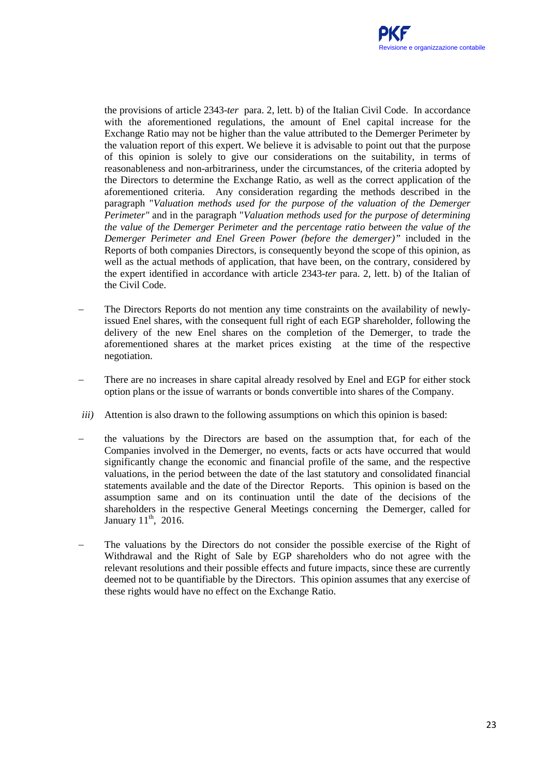the provisions of article 2343-*ter* para. 2, lett. b) of the Italian Civil Code. In accordance with the aforementioned regulations, the amount of Enel capital increase for the Exchange Ratio may not be higher than the value attributed to the Demerger Perimeter by the valuation report of this expert. We believe it is advisable to point out that the purpose of this opinion is solely to give our considerations on the suitability, in terms of reasonableness and non-arbitrariness, under the circumstances, of the criteria adopted by the Directors to determine the Exchange Ratio, as well as the correct application of the aforementioned criteria. Any consideration regarding the methods described in the paragraph "*Valuation methods used for the purpose of the valuation of the Demerger Perimeter"* and in the paragraph "*Valuation methods used for the purpose of determining the value of the Demerger Perimeter and the percentage ratio between the value of the Demerger Perimeter and Enel Green Power (before the demerger)"* included in the Reports of both companies Directors*,* is consequently beyond the scope of this opinion, as well as the actual methods of application, that have been, on the contrary, considered by the expert identified in accordance with article 2343-*ter* para. 2, lett. b) of the Italian of the Civil Code.

- The Directors Reports do not mention any time constraints on the availability of newlyissued Enel shares, with the consequent full right of each EGP shareholder, following the delivery of the new Enel shares on the completion of the Demerger, to trade the aforementioned shares at the market prices existing at the time of the respective negotiation.
- There are no increases in share capital already resolved by Enel and EGP for either stock option plans or the issue of warrants or bonds convertible into shares of the Company.
- *iii*) Attention is also drawn to the following assumptions on which this opinion is based:
- the valuations by the Directors are based on the assumption that, for each of the Companies involved in the Demerger, no events, facts or acts have occurred that would significantly change the economic and financial profile of the same, and the respective valuations, in the period between the date of the last statutory and consolidated financial statements available and the date of the Director Reports. This opinion is based on the assumption same and on its continuation until the date of the decisions of the shareholders in the respective General Meetings concerning the Demerger, called for January  $11<sup>th</sup>$ , 2016.
- The valuations by the Directors do not consider the possible exercise of the Right of Withdrawal and the Right of Sale by EGP shareholders who do not agree with the relevant resolutions and their possible effects and future impacts, since these are currently deemed not to be quantifiable by the Directors. This opinion assumes that any exercise of these rights would have no effect on the Exchange Ratio.